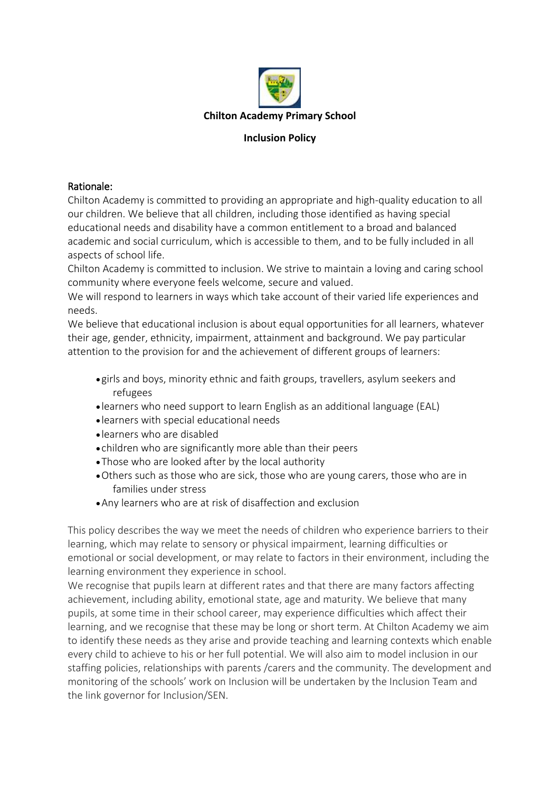

#### **Inclusion Policy**

#### Rationale:

Chilton Academy is committed to providing an appropriate and high-quality education to all our children. We believe that all children, including those identified as having special educational needs and disability have a common entitlement to a broad and balanced academic and social curriculum, which is accessible to them, and to be fully included in all aspects of school life.

Chilton Academy is committed to inclusion. We strive to maintain a loving and caring school community where everyone feels welcome, secure and valued.

We will respond to learners in ways which take account of their varied life experiences and needs.

We believe that educational inclusion is about equal opportunities for all learners, whatever their age, gender, ethnicity, impairment, attainment and background. We pay particular attention to the provision for and the achievement of different groups of learners:

- girls and boys, minority ethnic and faith groups, travellers, asylum seekers and refugees
- learners who need support to learn English as an additional language (EAL)
- learners with special educational needs
- learners who are disabled
- children who are significantly more able than their peers
- •Those who are looked after by the local authority
- •Others such as those who are sick, those who are young carers, those who are in families under stress
- •Any learners who are at risk of disaffection and exclusion

This policy describes the way we meet the needs of children who experience barriers to their learning, which may relate to sensory or physical impairment, learning difficulties or emotional or social development, or may relate to factors in their environment, including the learning environment they experience in school.

We recognise that pupils learn at different rates and that there are many factors affecting achievement, including ability, emotional state, age and maturity. We believe that many pupils, at some time in their school career, may experience difficulties which affect their learning, and we recognise that these may be long or short term. At Chilton Academy we aim to identify these needs as they arise and provide teaching and learning contexts which enable every child to achieve to his or her full potential. We will also aim to model inclusion in our staffing policies, relationships with parents /carers and the community. The development and monitoring of the schools' work on Inclusion will be undertaken by the Inclusion Team and the link governor for Inclusion/SEN.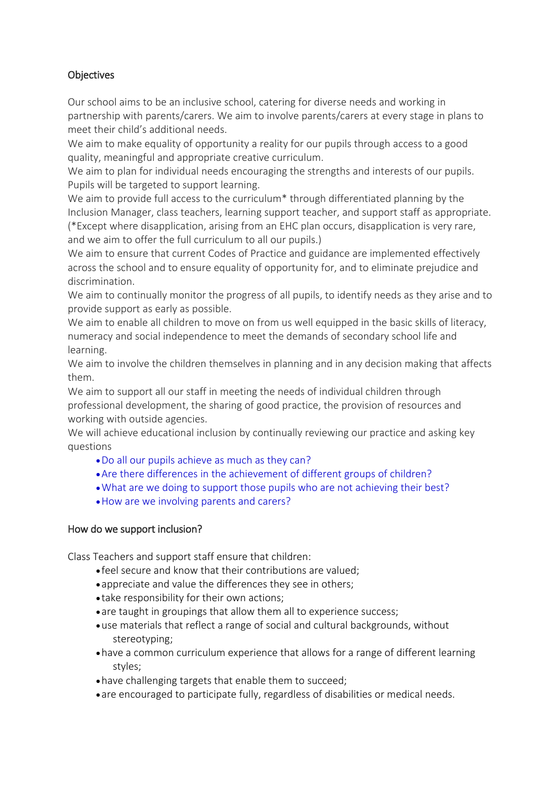# **Objectives**

Our school aims to be an inclusive school, catering for diverse needs and working in partnership with parents/carers. We aim to involve parents/carers at every stage in plans to meet their child's additional needs.

We aim to make equality of opportunity a reality for our pupils through access to a good quality, meaningful and appropriate creative curriculum.

We aim to plan for individual needs encouraging the strengths and interests of our pupils. Pupils will be targeted to support learning.

We aim to provide full access to the curriculum<sup>\*</sup> through differentiated planning by the Inclusion Manager, class teachers, learning support teacher, and support staff as appropriate. (\*Except where disapplication, arising from an EHC plan occurs, disapplication is very rare, and we aim to offer the full curriculum to all our pupils.)

We aim to ensure that current Codes of Practice and guidance are implemented effectively across the school and to ensure equality of opportunity for, and to eliminate prejudice and discrimination.

We aim to continually monitor the progress of all pupils, to identify needs as they arise and to provide support as early as possible.

We aim to enable all children to move on from us well equipped in the basic skills of literacy, numeracy and social independence to meet the demands of secondary school life and learning.

We aim to involve the children themselves in planning and in any decision making that affects them.

We aim to support all our staff in meeting the needs of individual children through professional development, the sharing of good practice, the provision of resources and working with outside agencies.

We will achieve educational inclusion by continually reviewing our practice and asking key questions

- •Do all our pupils achieve as much as they can?
- •Are there differences in the achievement of different groups of children?
- •What are we doing to support those pupils who are not achieving their best?
- •How are we involving parents and carers?

### How do we support inclusion?

Class Teachers and support staff ensure that children:

- feel secure and know that their contributions are valued;
- appreciate and value the differences they see in others;
- take responsibility for their own actions;
- are taught in groupings that allow them all to experience success;
- •use materials that reflect a range of social and cultural backgrounds, without stereotyping;
- •have a common curriculum experience that allows for a range of different learning styles;
- •have challenging targets that enable them to succeed;
- are encouraged to participate fully, regardless of disabilities or medical needs.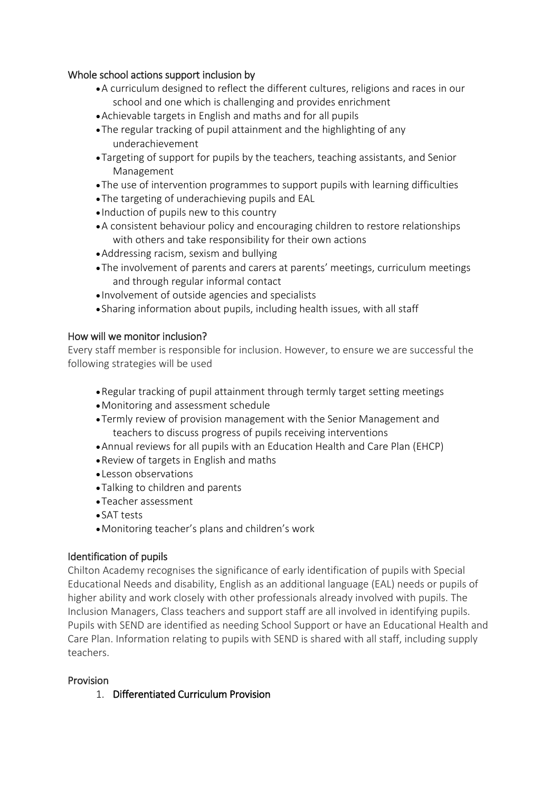### Whole school actions support inclusion by

- •A curriculum designed to reflect the different cultures, religions and races in our school and one which is challenging and provides enrichment
- •Achievable targets in English and maths and for all pupils
- •The regular tracking of pupil attainment and the highlighting of any underachievement
- •Targeting of support for pupils by the teachers, teaching assistants, and Senior Management
- •The use of intervention programmes to support pupils with learning difficulties
- •The targeting of underachieving pupils and EAL
- Induction of pupils new to this country
- •A consistent behaviour policy and encouraging children to restore relationships with others and take responsibility for their own actions
- •Addressing racism, sexism and bullying
- •The involvement of parents and carers at parents' meetings, curriculum meetings and through regular informal contact
- Involvement of outside agencies and specialists
- Sharing information about pupils, including health issues, with all staff

## How will we monitor inclusion?

Every staff member is responsible for inclusion. However, to ensure we are successful the following strategies will be used

- •Regular tracking of pupil attainment through termly target setting meetings
- •Monitoring and assessment schedule
- •Termly review of provision management with the Senior Management and teachers to discuss progress of pupils receiving interventions
- •Annual reviews for all pupils with an Education Health and Care Plan (EHCP)
- •Review of targets in English and maths
- Lesson observations
- •Talking to children and parents
- •Teacher assessment
- SAT tests
- •Monitoring teacher's plans and children's work

# Identification of pupils

Chilton Academy recognises the significance of early identification of pupils with Special Educational Needs and disability, English as an additional language (EAL) needs or pupils of higher ability and work closely with other professionals already involved with pupils. The Inclusion Managers, Class teachers and support staff are all involved in identifying pupils. Pupils with SEND are identified as needing School Support or have an Educational Health and Care Plan. Information relating to pupils with SEND is shared with all staff, including supply teachers.

### **Provision**

1. Differentiated Curriculum Provision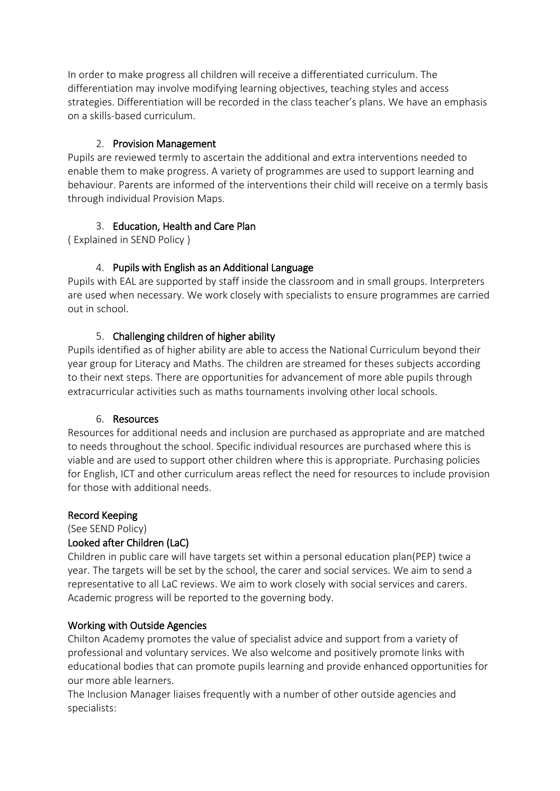In order to make progress all children will receive a differentiated curriculum. The differentiation may involve modifying learning objectives, teaching styles and access strategies. Differentiation will be recorded in the class teacher's plans. We have an emphasis on a skills-based curriculum.

### 2. Provision Management

Pupils are reviewed termly to ascertain the additional and extra interventions needed to enable them to make progress. A variety of programmes are used to support learning and behaviour. Parents are informed of the interventions their child will receive on a termly basis through individual Provision Maps.

# 3. Education, Health and Care Plan

( Explained in SEND Policy )

# 4. Pupils with English as an Additional Language

Pupils with EAL are supported by staff inside the classroom and in small groups. Interpreters are used when necessary. We work closely with specialists to ensure programmes are carried out in school.

## 5. Challenging children of higher ability

Pupils identified as of higher ability are able to access the National Curriculum beyond their year group for Literacy and Maths. The children are streamed for theses subjects according to their next steps. There are opportunities for advancement of more able pupils through extracurricular activities such as maths tournaments involving other local schools.

### 6. Resources

Resources for additional needs and inclusion are purchased as appropriate and are matched to needs throughout the school. Specific individual resources are purchased where this is viable and are used to support other children where this is appropriate. Purchasing policies for English, ICT and other curriculum areas reflect the need for resources to include provision for those with additional needs.

### Record Keeping

(See SEND Policy)

# Looked after Children (LaC)

Children in public care will have targets set within a personal education plan(PEP) twice a year. The targets will be set by the school, the carer and social services. We aim to send a representative to all LaC reviews. We aim to work closely with social services and carers. Academic progress will be reported to the governing body.

### Working with Outside Agencies

Chilton Academy promotes the value of specialist advice and support from a variety of professional and voluntary services. We also welcome and positively promote links with educational bodies that can promote pupils learning and provide enhanced opportunities for our more able learners.

The Inclusion Manager liaises frequently with a number of other outside agencies and specialists: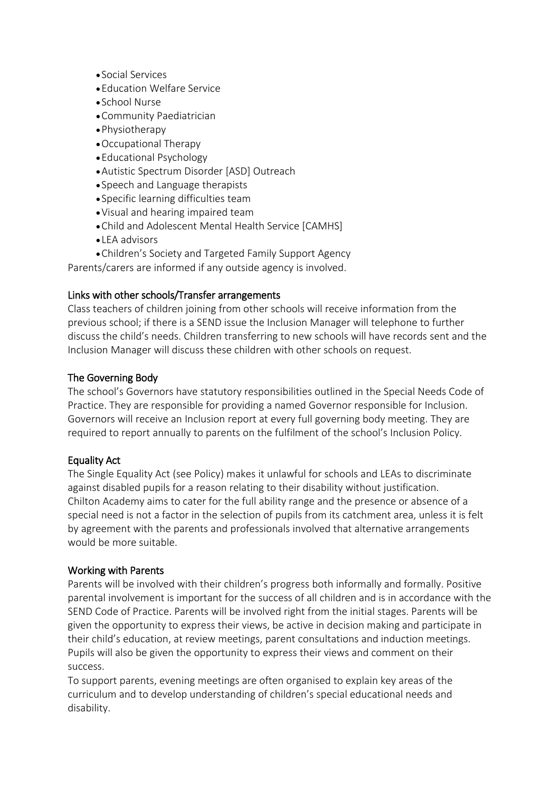- Social Services
- •Education Welfare Service
- School Nurse
- •Community Paediatrician
- •Physiotherapy
- •Occupational Therapy
- •Educational Psychology
- •Autistic Spectrum Disorder [ASD] Outreach
- Speech and Language therapists
- Specific learning difficulties team
- •Visual and hearing impaired team
- •Child and Adolescent Mental Health Service [CAMHS]
- LEA advisors
- •Children's Society and Targeted Family Support Agency

Parents/carers are informed if any outside agency is involved.

### Links with other schools/Transfer arrangements

Class teachers of children joining from other schools will receive information from the previous school; if there is a SEND issue the Inclusion Manager will telephone to further discuss the child's needs. Children transferring to new schools will have records sent and the Inclusion Manager will discuss these children with other schools on request.

## The Governing Body

The school's Governors have statutory responsibilities outlined in the Special Needs Code of Practice. They are responsible for providing a named Governor responsible for Inclusion. Governors will receive an Inclusion report at every full governing body meeting. They are required to report annually to parents on the fulfilment of the school's Inclusion Policy.

### Equality Act

The Single Equality Act (see Policy) makes it unlawful for schools and LEAs to discriminate against disabled pupils for a reason relating to their disability without justification. Chilton Academy aims to cater for the full ability range and the presence or absence of a special need is not a factor in the selection of pupils from its catchment area, unless it is felt by agreement with the parents and professionals involved that alternative arrangements would be more suitable.

### Working with Parents

Parents will be involved with their children's progress both informally and formally. Positive parental involvement is important for the success of all children and is in accordance with the SEND Code of Practice. Parents will be involved right from the initial stages. Parents will be given the opportunity to express their views, be active in decision making and participate in their child's education, at review meetings, parent consultations and induction meetings. Pupils will also be given the opportunity to express their views and comment on their success.

To support parents, evening meetings are often organised to explain key areas of the curriculum and to develop understanding of children's special educational needs and disability.